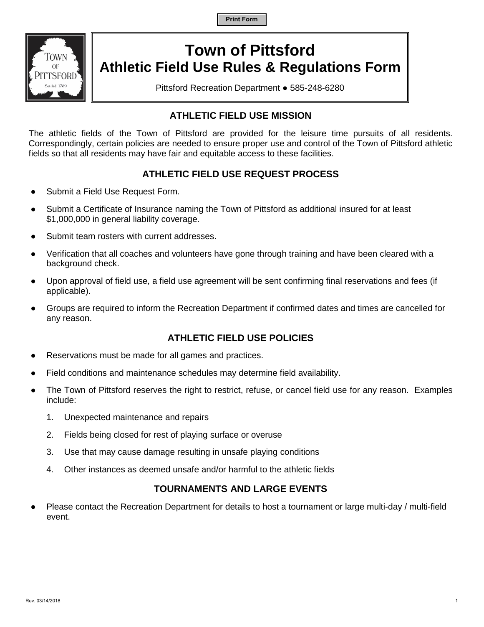**Print Form**



# **Town of Pittsford Athletic Field Use Rules & Regulations Form**

Pittsford Recreation Department ● 585-248-6280

# **ATHLETIC FIELD USE MISSION**

The athletic fields of the Town of Pittsford are provided for the leisure time pursuits of all residents. Correspondingly, certain policies are needed to ensure proper use and control of the Town of Pittsford athletic fields so that all residents may have fair and equitable access to these facilities.

# **ATHLETIC FIELD USE REQUEST PROCESS**

- Submit a Field Use Request Form.
- Submit a Certificate of Insurance naming the Town of Pittsford as additional insured for at least \$1,000,000 in general liability coverage.
- Submit team rosters with current addresses.
- Verification that all coaches and volunteers have gone through training and have been cleared with a background check.
- Upon approval of field use, a field use agreement will be sent confirming final reservations and fees (if applicable).
- Groups are required to inform the Recreation Department if confirmed dates and times are cancelled for any reason.

## **ATHLETIC FIELD USE POLICIES**

- Reservations must be made for all games and practices.
- Field conditions and maintenance schedules may determine field availability.
- The Town of Pittsford reserves the right to restrict, refuse, or cancel field use for any reason. Examples include:
	- 1. Unexpected maintenance and repairs
	- 2. Fields being closed for rest of playing surface or overuse
	- 3. Use that may cause damage resulting in unsafe playing conditions
	- 4. Other instances as deemed unsafe and/or harmful to the athletic fields

## **TOURNAMENTS AND LARGE EVENTS**

Please contact the Recreation Department for details to host a tournament or large multi-day / multi-field event.